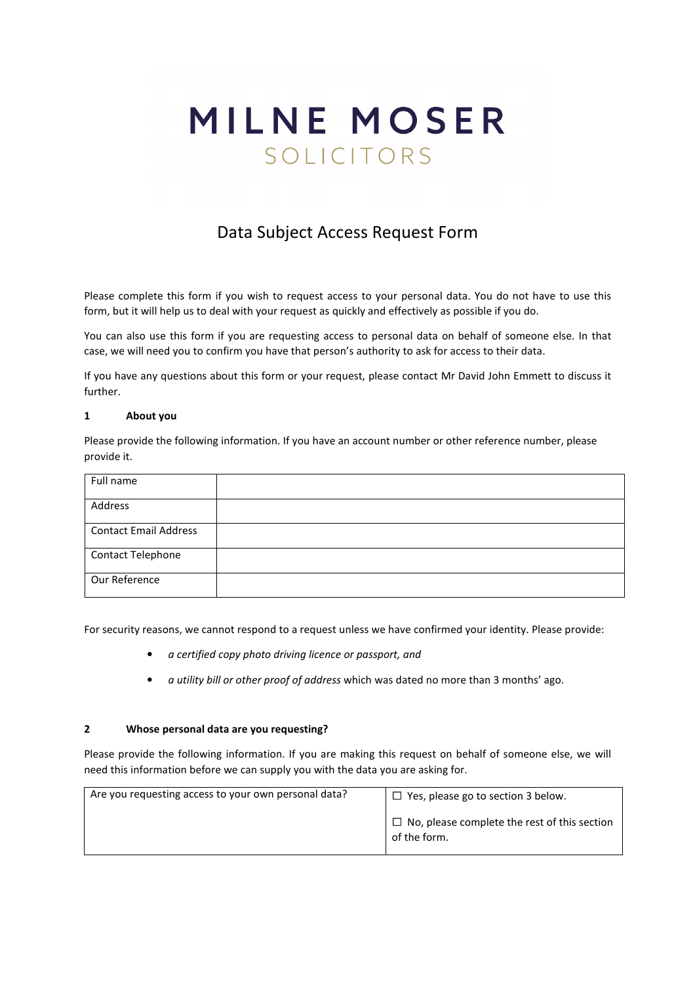# MILNE MOSER SOLICITORS

# Data Subject Access Request Form

Please complete this form if you wish to request access to your personal data. You do not have to use this form, but it will help us to deal with your request as quickly and effectively as possible if you do.

You can also use this form if you are requesting access to personal data on behalf of someone else. In that case, we will need you to confirm you have that person's authority to ask for access to their data.

If you have any questions about this form or your request, please contact Mr David John Emmett to discuss it further.

## **1 About you**

Please provide the following information. If you have an account number or other reference number, please provide it.

| Full name                    |  |
|------------------------------|--|
| Address                      |  |
| <b>Contact Email Address</b> |  |
| Contact Telephone            |  |
| Our Reference                |  |

For security reasons, we cannot respond to a request unless we have confirmed your identity. Please provide:

- *a certified copy photo driving licence or passport, and*
- *a utility bill or other proof of address* which was dated no more than 3 months' ago.

#### **2 Whose personal data are you requesting?**

Please provide the following information. If you are making this request on behalf of someone else, we will need this information before we can supply you with the data you are asking for.

| Are you requesting access to your own personal data? | $\Box$ Yes, please go to section 3 below.                           |
|------------------------------------------------------|---------------------------------------------------------------------|
|                                                      | $\Box$ No, please complete the rest of this section<br>of the form. |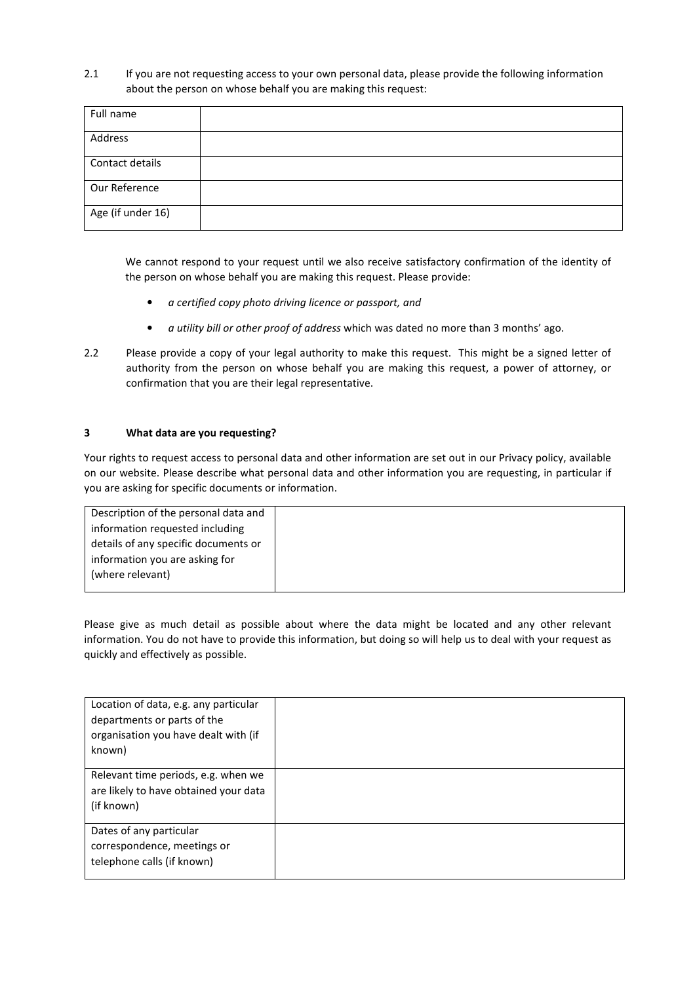2.1 If you are not requesting access to your own personal data, please provide the following information about the person on whose behalf you are making this request:

| Full name         |  |
|-------------------|--|
| Address           |  |
| Contact details   |  |
| Our Reference     |  |
| Age (if under 16) |  |

We cannot respond to your request until we also receive satisfactory confirmation of the identity of the person on whose behalf you are making this request. Please provide:

- *a certified copy photo driving licence or passport, and*
- *a utility bill or other proof of address* which was dated no more than 3 months' ago.
- 2.2 Please provide a copy of your legal authority to make this request. This might be a signed letter of authority from the person on whose behalf you are making this request, a power of attorney, or confirmation that you are their legal representative.

# **3 What data are you requesting?**

Your rights to request access to personal data and other information are set out in our Privacy policy, available on our website. Please describe what personal data and other information you are requesting, in particular if you are asking for specific documents or information.

| Description of the personal data and |  |
|--------------------------------------|--|
| information requested including      |  |
| details of any specific documents or |  |
| information you are asking for       |  |
| (where relevant)                     |  |
|                                      |  |

Please give as much detail as possible about where the data might be located and any other relevant information. You do not have to provide this information, but doing so will help us to deal with your request as quickly and effectively as possible.

| Location of data, e.g. any particular<br>departments or parts of the<br>organisation you have dealt with (if<br>known) |  |
|------------------------------------------------------------------------------------------------------------------------|--|
| Relevant time periods, e.g. when we<br>are likely to have obtained your data<br>(if known)                             |  |
| Dates of any particular<br>correspondence, meetings or<br>telephone calls (if known)                                   |  |